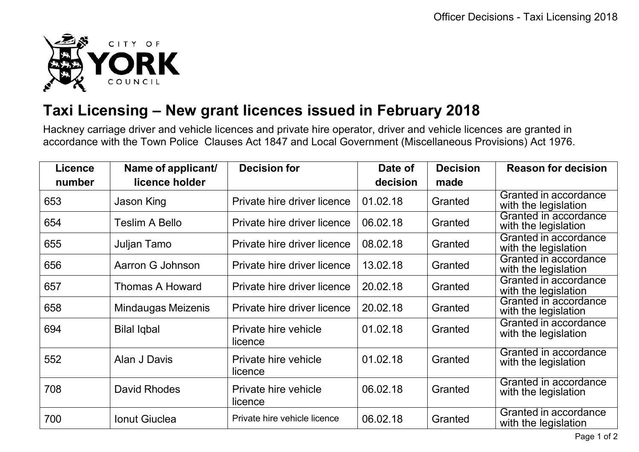

## **Taxi Licensing – New grant licences issued in February 2018**

Hackney carriage driver and vehicle licences and private hire operator, driver and vehicle licences are granted in accordance with the Town Police Clauses Act 1847 and Local Government (Miscellaneous Provisions) Act 1976.

| Licence | Name of applicant/        | <b>Decision for</b>             | Date of  | <b>Decision</b> | <b>Reason for decision</b>                    |
|---------|---------------------------|---------------------------------|----------|-----------------|-----------------------------------------------|
| number  | licence holder            |                                 | decision | made            |                                               |
| 653     | Jason King                | Private hire driver licence     | 01.02.18 | Granted         | Granted in accordance<br>with the legislation |
| 654     | <b>Teslim A Bello</b>     | Private hire driver licence     | 06.02.18 | Granted         | Granted in accordance<br>with the legislation |
| 655     | Juljan Tamo               | Private hire driver licence     | 08.02.18 | Granted         | Granted in accordance<br>with the legislation |
| 656     | Aarron G Johnson          | Private hire driver licence     | 13.02.18 | Granted         | Granted in accordance<br>with the legislation |
| 657     | <b>Thomas A Howard</b>    | Private hire driver licence     | 20.02.18 | Granted         | Granted in accordance<br>with the legislation |
| 658     | <b>Mindaugas Meizenis</b> | Private hire driver licence     | 20.02.18 | Granted         | Granted in accordance<br>with the legislation |
| 694     | <b>Bilal Iqbal</b>        | Private hire vehicle<br>licence | 01.02.18 | Granted         | Granted in accordance<br>with the legislation |
| 552     | Alan J Davis              | Private hire vehicle<br>licence | 01.02.18 | Granted         | Granted in accordance<br>with the legislation |
| 708     | David Rhodes              | Private hire vehicle<br>licence | 06.02.18 | Granted         | Granted in accordance<br>with the legislation |
| 700     | <b>Ionut Giuclea</b>      | Private hire vehicle licence    | 06.02.18 | Granted         | Granted in accordance<br>with the legislation |